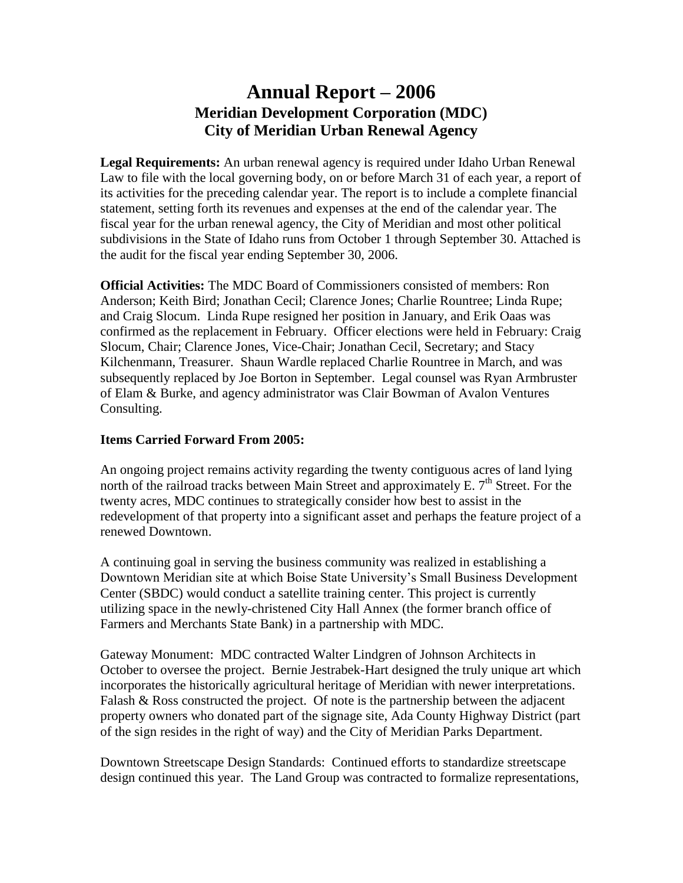# **Annual Report –2006 Meridian Development Corporation (MDC) City of Meridian Urban Renewal Agency**

**Legal Requirements:** An urban renewal agency is required under Idaho Urban Renewal Law to file with the local governing body, on or before March 31 of each year, a report of its activities for the preceding calendar year. The report is to include a complete financial statement, setting forth its revenues and expenses at the end of the calendar year. The fiscal year for the urban renewal agency, the City of Meridian and most other political subdivisions in the State of Idaho runs from October 1 through September 30. Attached is the audit for the fiscal year ending September 30, 2006.

**Official Activities:** The MDC Board of Commissioners consisted of members: Ron Anderson; Keith Bird; Jonathan Cecil; Clarence Jones; Charlie Rountree; Linda Rupe; and Craig Slocum. Linda Rupe resigned her position in January, and Erik Oaas was confirmed as the replacement in February. Officer elections were held in February: Craig Slocum, Chair; Clarence Jones, Vice-Chair; Jonathan Cecil, Secretary; and Stacy Kilchenmann, Treasurer. Shaun Wardle replaced Charlie Rountree in March, and was subsequently replaced by Joe Borton in September. Legal counsel was Ryan Armbruster of Elam & Burke, and agency administrator was Clair Bowman of Avalon Ventures Consulting.

#### **Items Carried Forward From 2005:**

An ongoing project remains activity regarding the twenty contiguous acres of land lying north of the railroad tracks between Main Street and approximately E.  $7<sup>th</sup>$  Street. For the twenty acres, MDC continues to strategically consider how best to assist in the redevelopment of that property into a significant asset and perhaps the feature project of a renewed Downtown.

A continuing goal in serving the business community was realized in establishing a Downtown Meridian site at which Boise State University's Small Business Development Center (SBDC) would conduct a satellite training center. This project is currently utilizing space in the newly-christened City Hall Annex (the former branch office of Farmers and Merchants State Bank) in a partnership with MDC.

Gateway Monument: MDC contracted Walter Lindgren of Johnson Architects in October to oversee the project. Bernie Jestrabek-Hart designed the truly unique art which incorporates the historically agricultural heritage of Meridian with newer interpretations. Falash  $\&$  Ross constructed the project. Of note is the partnership between the adjacent property owners who donated part of the signage site, Ada County Highway District (part of the sign resides in the right of way) and the City of Meridian Parks Department.

Downtown Streetscape Design Standards: Continued efforts to standardize streetscape design continued this year. The Land Group was contracted to formalize representations,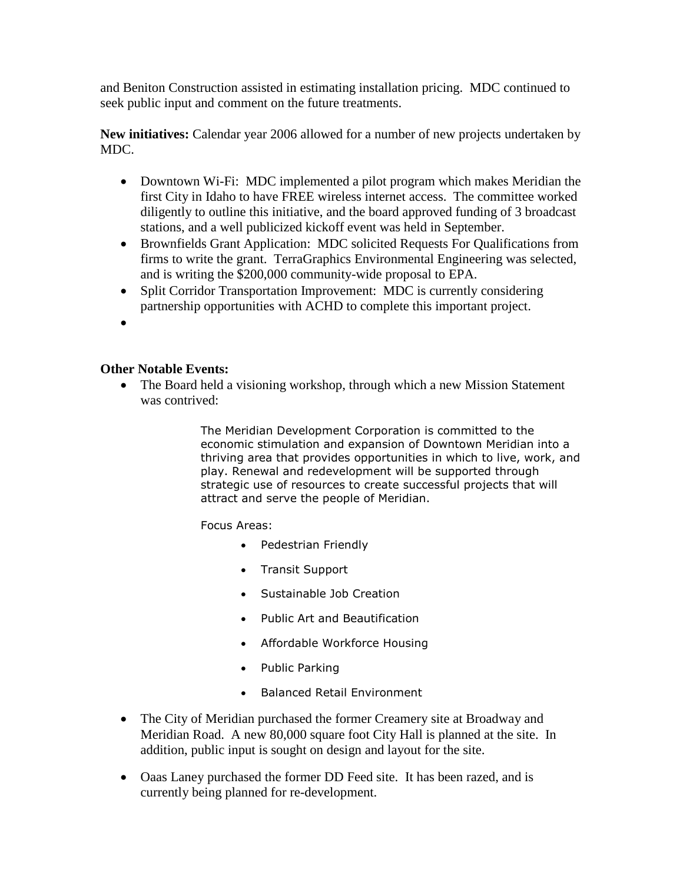and Beniton Construction assisted in estimating installation pricing. MDC continued to seek public input and comment on the future treatments.

**New initiatives:** Calendar year 2006 allowed for a number of new projects undertaken by MDC.

- Downtown Wi-Fi: MDC implemented a pilot program which makes Meridian the first City in Idaho to have FREE wireless internet access. The committee worked diligently to outline this initiative, and the board approved funding of 3 broadcast stations, and a well publicized kickoff event was held in September.
- Brownfields Grant Application: MDC solicited Requests For Qualifications from firms to write the grant. TerraGraphics Environmental Engineering was selected, and is writing the \$200,000 community-wide proposal to EPA.
- Split Corridor Transportation Improvement: MDC is currently considering partnership opportunities with ACHD to complete this important project.
- $\bullet$

#### **Other Notable Events:**

• The Board held a visioning workshop, through which a new Mission Statement was contrived:

> The Meridian Development Corporation is committed to the economic stimulation and expansion of Downtown Meridian into a thriving area that provides opportunities in which to live, work, and play. Renewal and redevelopment will be supported through strategic use of resources to create successful projects that will attract and serve the people of Meridian.

Focus Areas:

- Pedestrian Friendly
- Transit Support
- Sustainable Job Creation
- Public Art and Beautification
- Affordable Workforce Housing
- Public Parking
- Balanced Retail Environment
- The City of Meridian purchased the former Creamery site at Broadway and Meridian Road. A new 80,000 square foot City Hall is planned at the site. In addition, public input is sought on design and layout for the site.
- Oaas Laney purchased the former DD Feed site. It has been razed, and is currently being planned for re-development.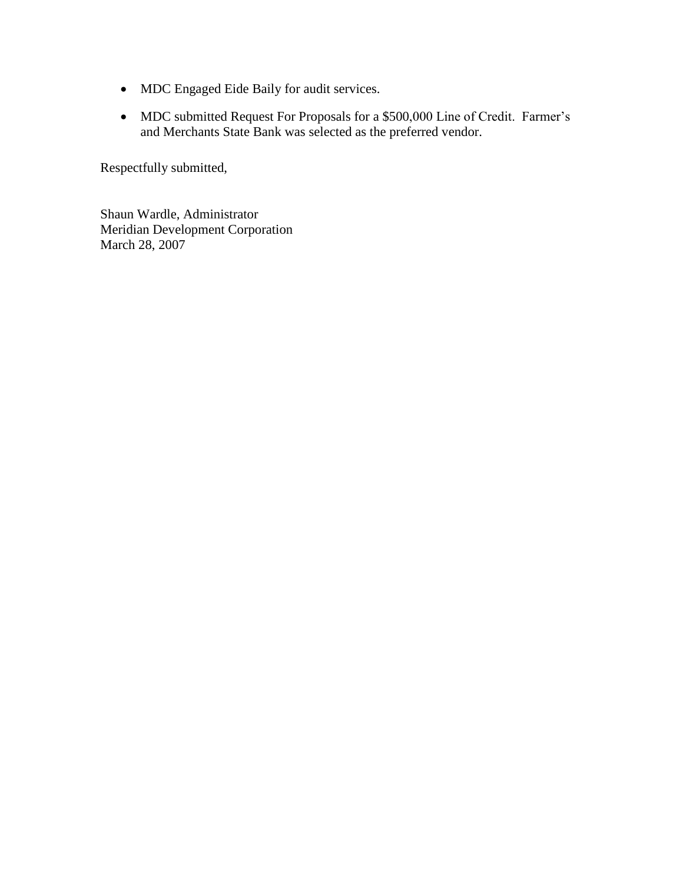- MDC Engaged Eide Baily for audit services.
- MDC submitted Request For Proposals for a \$500,000 Line of Credit. Farmer's and Merchants State Bank was selected as the preferred vendor.

Respectfully submitted,

Shaun Wardle, Administrator Meridian Development Corporation March 28, 2007